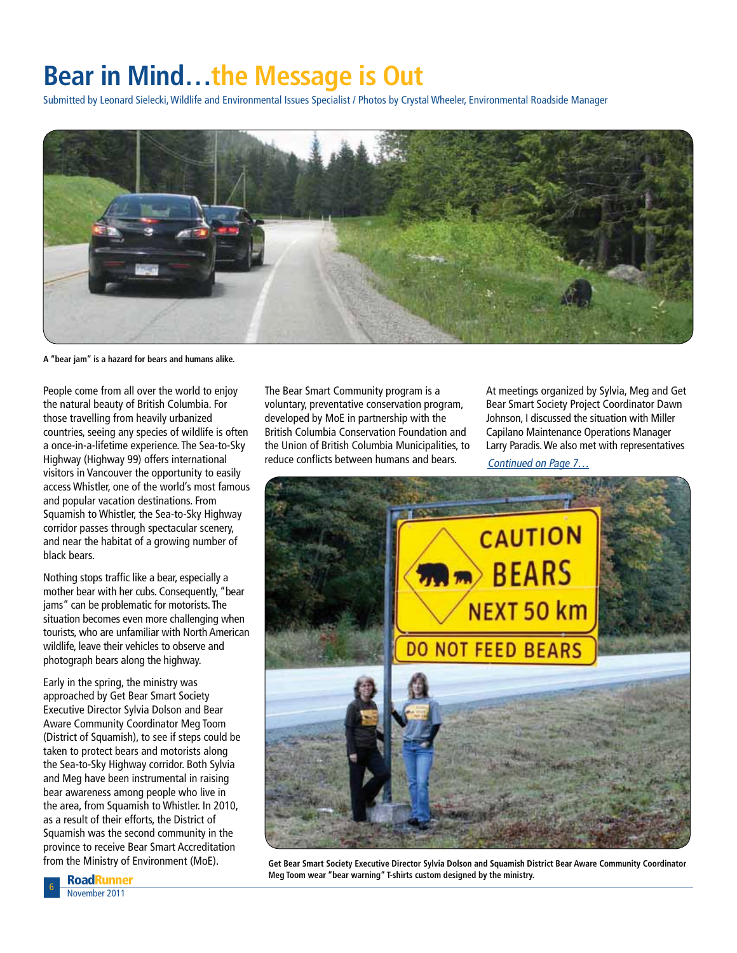## **Bear in Mind…the Message is Out**

Submitted by Leonard Sielecki, Wildlife and Environmental Issues Specialist / Photos by Crystal Wheeler, Environmental Roadside Manager



**A "bear jam" is a hazard for bears and humans alike.**

People come from all over the world to enjoy the natural beauty of British Columbia. For those travelling from heavily urbanized countries, seeing any species of wildlife is often a once-in-a-lifetime experience. The Sea-to-Sky Highway (Highway 99) offers international visitors in Vancouver the opportunity to easily access Whistler, one of the world's most famous and popular vacation destinations. From Squamish to Whistler, the Sea-to-Sky Highway corridor passes through spectacular scenery, and near the habitat of a growing number of black bears.

Nothing stops traffic like a bear, especially a mother bear with her cubs. Consequently, "bear jams" can be problematic for motorists. The situation becomes even more challenging when tourists, who are unfamiliar with North American wildlife, leave their vehicles to observe and photograph bears along the highway.

Early in the spring, the ministry was approached by Get Bear Smart Society Executive Director Sylvia Dolson and Bear Aware Community Coordinator Meg Toom (District of Squamish), to see if steps could be taken to protect bears and motorists along the Sea-to-Sky Highway corridor. Both Sylvia and Meg have been instrumental in raising bear awareness among people who live in the area, from Squamish to Whistler. In 2010, as a result of their efforts, the District of Squamish was the second community in the province to receive Bear Smart Accreditation from the Ministry of Environment (MoE).

The Bear Smart Community program is a voluntary, preventative conservation program, developed by MoE in partnership with the British Columbia Conservation Foundation and the Union of British Columbia Municipalities, to reduce conflicts between humans and bears.

At meetings organized by Sylvia, Meg and Get Bear Smart Society Project Coordinator Dawn Johnson, I discussed the situation with Miller Capilano Maintenance Operations Manager Larry Paradis. We also met with representatives

Continued on Page 7…



**Get Bear Smart Society Executive Director Sylvia Dolson and Squamish District Bear Aware Community Coordinator Meg Toom wear "bear warning" T-shirts custom designed by the ministry.**